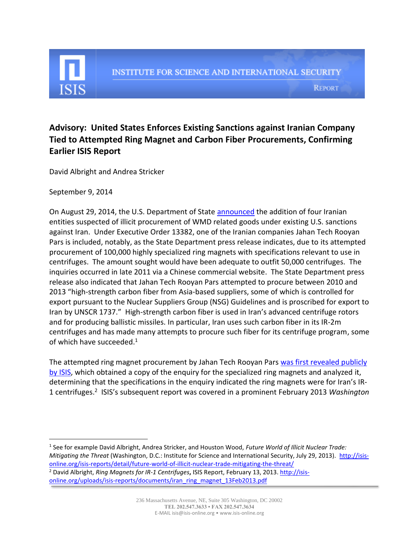

**REPORT** 

## **Advisory: United States Enforces Existing Sanctions against Iranian Company Tied to Attempted Ring Magnet and Carbon Fiber Procurements, Confirming Earlier ISIS Report**

David Albright and Andrea Stricker

September 9, 2014

On August 29, 2014, the U.S. Department of State [announced](http://www.state.gov/r/pa/prs/ps/2014/231159.htm) the addition of four Iranian entities suspected of illicit procurement of WMD related goods under existing U.S. sanctions against Iran. Under Executive Order 13382, one of the Iranian companies Jahan Tech Rooyan Pars is included, notably, as the State Department press release indicates, due to its attempted procurement of 100,000 highly specialized ring magnets with specifications relevant to use in centrifuges. The amount sought would have been adequate to outfit 50,000 centrifuges. The inquiries occurred in late 2011 via a Chinese commercial website. The State Department press release also indicated that Jahan Tech Rooyan Pars attempted to procure between 2010 and 2013 "high-strength carbon fiber from Asia-based suppliers, some of which is controlled for export pursuant to the Nuclear Suppliers Group (NSG) Guidelines and is proscribed for export to Iran by UNSCR 1737." High-strength carbon fiber is used in Iran's advanced centrifuge rotors and for producing ballistic missiles. In particular, Iran uses such carbon fiber in its IR-2m centrifuges and has made many attempts to procure such fiber for its centrifuge program, some of which have succeeded.<sup>1</sup>

The attempted ring magnet procurement by Jahan Tech Rooyan Pars was [first revealed publicly](http://isis-online.org/uploads/isis-reports/documents/iran_ring_magnet_13Feb2013.pdf)  [by ISIS,](http://isis-online.org/uploads/isis-reports/documents/iran_ring_magnet_13Feb2013.pdf) which obtained a copy of the enquiry for the specialized ring magnets and analyzed it, determining that the specifications in the enquiry indicated the ring magnets were for Iran's IR-1 centrifuges.<sup>2</sup> ISIS's subsequent report was covered in a prominent February 2013 *Washington* 

l 1 See for example David Albright, Andrea Stricker, and Houston Wood, *Future World of Illicit Nuclear Trade: Mitigating the Threat* (Washington, D.C.: Institute for Science and International Security, July 29, 2013). [http://isis](http://isis-online.org/isis-reports/detail/future-world-of-illicit-nuclear-trade-mitigating-the-threat/)[online.org/isis-reports/detail/future-world-of-illicit-nuclear-trade-mitigating-the-threat/](http://isis-online.org/isis-reports/detail/future-world-of-illicit-nuclear-trade-mitigating-the-threat/)  <sup>2</sup> David Albright, *Ring Magnets for IR-1 Centrifuges***,** ISIS Report, February 13, 2013[. http://isis](http://isis-online.org/uploads/isis-reports/documents/iran_ring_magnet_13Feb2013.pdf)[online.org/uploads/isis-reports/documents/iran\\_ring\\_magnet\\_13Feb2013.pdf](http://isis-online.org/uploads/isis-reports/documents/iran_ring_magnet_13Feb2013.pdf)